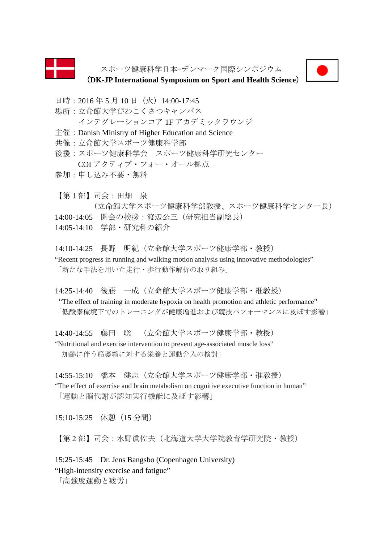

スポーツ健康科学日本—デンマーク国際シンポジウム



(**DK-JP International Symposium on Sport and Health Science**)

日時: 2016年5月10日 (火) 14:00-17:45

- 場所:立命館大学びわこくさつキャンパス インテグレーションコア 1F アカデミックラウンジ
- 主催:Danish Ministry of Higher Education and Science
- 共催:立命館大学スポーツ健康科学部
- 後援:スポーツ健康科学会 スポーツ健康科学研究センター COI アクティブ・フォー・オール拠点
- 参加:申し込み不要・無料

【第 1 部】司会:田畑 泉 (立命館大学スポーツ健康科学部教授、スポーツ健康科学センター長) 14:00-14:05 開会の挨拶:渡辺公三(研究担当副総長) 14:05-14:10 学部・研究科の紹介

14:10-14:25 長野 明紀(立命館大学スポーツ健康学部・教授) "Recent progress in running and walking motion analysis using innovative methodologies" 「新たな手法を用いた走行・歩行動作解析の取り組み」

14:25-14:40 後藤 一成(立命館大学スポーツ健康学部・准教授)

 "The effect of training in moderate hypoxia on health promotion and athletic performance" 「低酸素環境下でのトレーニングが健康増進および競技パフォーマンスに及ぼす影響」

14:40-14:55 藤田 聡 (立命館大学スポーツ健康学部・教授) "Nutritional and exercise intervention to prevent age-associated muscle loss" 「加齢に伴う筋萎縮に対する栄養と運動介入の検討」

14:55-15:10 橋本 健志(立命館大学スポーツ健康学部・准教授)

"The effect of exercise and brain metabolism on cognitive executive function in human" 「運動と脳代謝が認知実行機能に及ぼす影響」

15:10-15:25 休憩(15 分間)

【第2部】司会:水野眞佐夫(北海道大学大学院教育学研究院・教授)

15:25-15:45 Dr. Jens Bangsbo (Copenhagen University) "High-intensity exercise and fatigue"

「高強度運動と疲労」